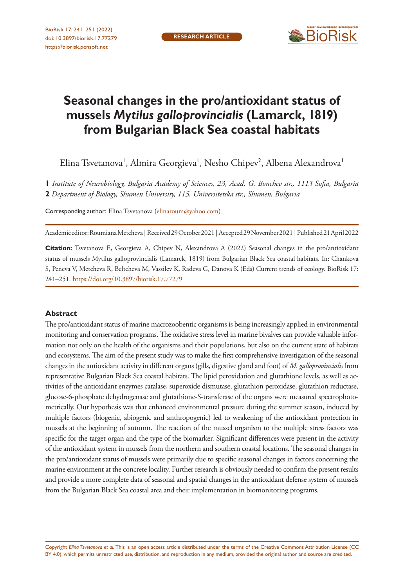

# **Seasonal changes in the pro/antioxidant status of mussels** *Mytilus galloprovincialis* **(Lamarck, 1819) from Bulgarian Black Sea coastal habitats**

Elina Tsvetanova', Almira Georgieva', Nesho Chipev<sup>2</sup>, Albena Alexandrova'

**1** *Institute of Neurobiology, Bulgaria Academy of Sciences, 23, Acad. G. Bonchev str., 1113 Sofia, Bulgaria* 

**2** *Department of Biology, Shumen University, 115, Universitetska str., Shumen, Bulgaria*

Corresponding author: Elina Tsvetanova ([elinaroum@yahoo.com](mailto:elinaroum@yahoo.com))

Academic editor: Roumiana Metcheva | Received 29 October 2021 | Accepted 29 November 2021 | Published 21 April 2022

**Citation:** Tsvetanova E, Georgieva A, Chipev N, Alexandrova A (2022) Seasonal changes in the pro/antioxidant status of mussels Mytilus galloprovincialis (Lamarck, 1819) from Bulgarian Black Sea coastal habitats. In: Chankova S, Peneva V, Metcheva R, Beltcheva M, Vassilev K, Radeva G, Danova K (Eds) Current trends of ecology. BioRisk 17: 241–251.<https://doi.org/10.3897/biorisk.17.77279>

#### **Abstract**

The pro/antioxidant status of marine macrozoobentic organisms is being increasingly applied in environmental monitoring and conservation programs. The oxidative stress level in marine bivalves can provide valuable information not only on the health of the organisms and their populations, but also on the current state of habitats and ecosystems. The aim of the present study was to make the first comprehensive investigation of the seasonal changes in the antioxidant activity in different organs (gills, digestive gland and foot) of *M. galloprovincialis* from representative Bulgarian Black Sea coastal habitats. The lipid peroxidation and glutathione levels, as well as activities of the antioxidant enzymes catalase, superoxide dismutase, glutathion peroxidase, glutathion reductase, glucose-6-phosphate dehydrogenase and glutathione-S-transferase of the organs were measured spectrophotometrically. Our hypothesis was that enhanced environmental pressure during the summer season, induced by multiple factors (biogenic, abiogenic and anthropogenic) led to weakening of the antioxidant protection in mussels at the beginning of autumn. The reaction of the mussel organism to the multiple stress factors was specific for the target organ and the type of the biomarker. Significant differences were present in the activity of the antioxidant system in mussels from the northern and southern coastal locations. The seasonal changes in the pro/antioxidant status of mussels were primarily due to specific seasonal changes in factors concerning the marine environment at the concrete locality. Further research is obviously needed to confirm the present results and provide a more complete data of seasonal and spatial changes in the antioxidant defense system of mussels from the Bulgarian Black Sea coastal area and their implementation in biomonitoring programs.

Copyright *Elina Tsvetanova et al.* This is an open access article distributed under the terms of the [Creative Commons Attribution License \(CC](http://creativecommons.org/licenses/by/4.0/)  [BY 4.0\)](http://creativecommons.org/licenses/by/4.0/), which permits unrestricted use, distribution, and reproduction in any medium, provided the original author and source are credited.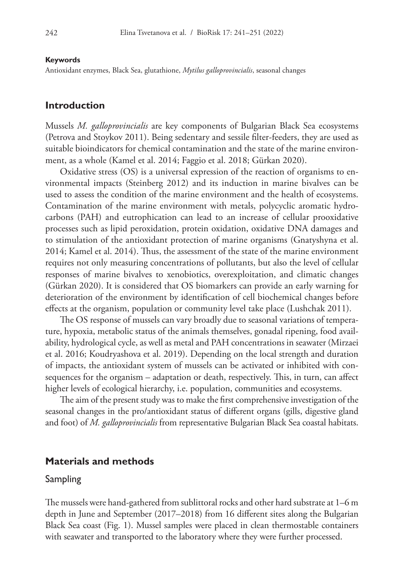#### **Keywords**

Antioxidant enzymes, Black Sea, glutathione, *Mytilus galloprovincialis*, seasonal changes

## **Introduction**

Mussels *M. galloprovincialis* are key components of Bulgarian Black Sea ecosystems (Petrova and Stoykov 2011). Being sedentary and sessile filter-feeders, they are used as suitable bioindicators for chemical contamination and the state of the marine environment, as a whole (Kamel et al. 2014; Faggio et al. 2018; Gürkan 2020).

Oxidative stress (OS) is a universal expression of the reaction of organisms to environmental impacts (Steinberg 2012) and its induction in marine bivalves can be used to assess the condition of the marine environment and the health of ecosystems. Contamination of the marine environment with metals, polycyclic aromatic hydrocarbons (PAH) and eutrophication can lead to an increase of cellular prooxidative processes such as lipid peroxidation, protein oxidation, oxidative DNA damages and to stimulation of the antioxidant protection of marine organisms (Gnatyshyna et al. 2014; Kamel et al. 2014). Thus, the assessment of the state of the marine environment requires not only measuring concentrations of pollutants, but also the level of cellular responses of marine bivalves to xenobiotics, overexploitation, and climatic changes (Gürkan 2020). It is considered that OS biomarkers can provide an early warning for deterioration of the environment by identification of cell biochemical changes before effects at the organism, population or community level take place (Lushchak 2011).

The OS response of mussels can vary broadly due to seasonal variations of temperature, hypoxia, metabolic status of the animals themselves, gonadal ripening, food availability, hydrological cycle, as well as metal and PAH concentrations in seawater (Mirzaei et al. 2016; Koudryashova et al. 2019). Depending on the local strength and duration of impacts, the antioxidant system of mussels can be activated or inhibited with consequences for the organism – adaptation or death, respectively. This, in turn, can affect higher levels of ecological hierarchy, i.e. population, communities and ecosystems.

The aim of the present study was to make the first comprehensive investigation of the seasonal changes in the pro/antioxidant status of different organs (gills, digestive gland and foot) of *M. galloprovincialis* from representative Bulgarian Black Sea coastal habitats.

### **Materials and methods**

#### Sampling

The mussels were hand-gathered from sublittoral rocks and other hard substrate at 1–6 m depth in June and September (2017–2018) from 16 different sites along the Bulgarian Black Sea coast (Fig. 1). Mussel samples were placed in clean thermostable containers with seawater and transported to the laboratory where they were further processed.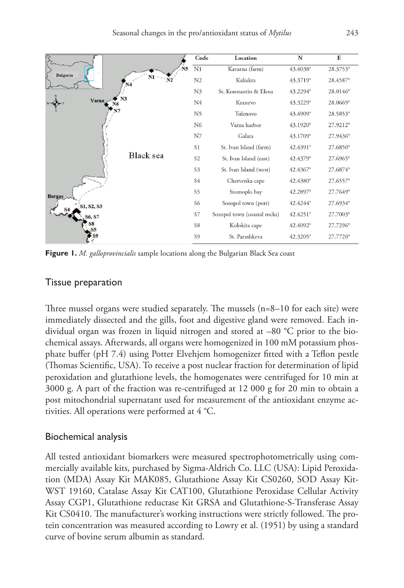

**Figure 1.** *M. galloprovincialis* sample locations along the Bulgarian Black Sea coast

#### Tissue preparation

Three mussel organs were studied separately. The mussels (n=8–10 for each site) were immediately dissected and the gills, foot and digestive gland were removed. Each individual organ was frozen in liquid nitrogen and stored at –80 °C prior to the biochemical assays. Afterwards, all organs were homogenized in 100 mM potassium phosphate buffer (pH 7.4) using Potter Elvehjem homogenizer fitted with a Teflon pestle (Thomas Scientific, USA). To receive a post nuclear fraction for determination of lipid peroxidation and glutathione levels, the homogenates were centrifuged for 10 min at 3000 g. A part of the fraction was re-centrifuged at 12 000 g for 20 min to obtain a post mitochondrial supernatant used for measurement of the antioxidant enzyme activities. All operations were performed at 4 °C.

## Biochemical analysis

All tested antioxidant biomarkers were measured spectrophotometrically using commercially available kits, purchased by Sigma-Aldrich Co. LLC (USA): Lipid Peroxidation (MDA) Assay Kit MAK085, Glutathione Assay Kit CS0260, SOD Assay Kit-WST 19160, Catalase Assay Kit CAT100, Glutathione Peroxidase Cellular Activity Assay CGP1, Glutathione reductase Kit GRSA and Glutathione-S-Transferase Assay Kit CS0410. The manufacturer's working instructions were strictly followed. The protein concentration was measured according to Lowry et al. (1951) by using a standard curve of bovine serum albumin as standard.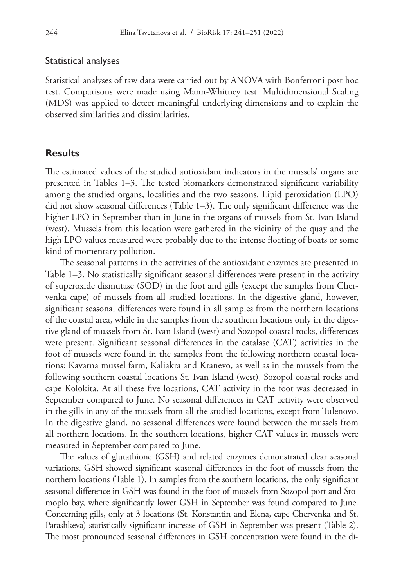#### Statistical analyses

Statistical analyses of raw data were carried out by ANOVA with Bonferroni post hoc test. Comparisons were made using Mann-Whitney test. Multidimensional Scaling (MDS) was applied to detect meaningful underlying dimensions and to explain the observed similarities and dissimilarities.

# **Results**

The estimated values of the studied antioxidant indicators in the mussels' organs are presented in Tables 1–3. The tested biomarkers demonstrated significant variability among the studied organs, localities and the two seasons. Lipid peroxidation (LPO) did not show seasonal differences (Table 1–3). The only significant difference was the higher LPO in September than in June in the organs of mussels from St. Ivan Island (west). Mussels from this location were gathered in the vicinity of the quay and the high LPO values measured were probably due to the intense floating of boats or some kind of momentary pollution.

The seasonal patterns in the activities of the antioxidant enzymes are presented in Table 1–3. No statistically significant seasonal differences were present in the activity of superoxide dismutase (SOD) in the foot and gills (except the samples from Chervenka cape) of mussels from all studied locations. In the digestive gland, however, significant seasonal differences were found in all samples from the northern locations of the coastal area, while in the samples from the southern locations only in the digestive gland of mussels from St. Ivan Island (west) and Sozopol coastal rocks, differences were present. Significant seasonal differences in the catalase (CAT) activities in the foot of mussels were found in the samples from the following northern coastal locations: Kavarna mussel farm, Kaliakra and Kranevo, as well as in the mussels from the following southern coastal locations St. Ivan Island (west), Sozopol coastal rocks and cape Kolokita. At all these five locations, CAT activity in the foot was decreased in September compared to June. No seasonal differences in CAT activity were observed in the gills in any of the mussels from all the studied locations, except from Tulenovo. In the digestive gland, no seasonal differences were found between the mussels from all northern locations. In the southern locations, higher CAT values in mussels were measured in September compared to June.

The values of glutathione (GSH) and related enzymes demonstrated clear seasonal variations. GSH showed significant seasonal differences in the foot of mussels from the northern locations (Table 1). In samples from the southern locations, the only significant seasonal difference in GSH was found in the foot of mussels from Sozopol port and Stomoplo bay, where significantly lower GSH in September was found compared to June. Concerning gills, only at 3 locations (St. Konstantin and Elena, cape Chervenka and St. Parashkeva) statistically significant increase of GSH in September was present (Table 2). The most pronounced seasonal differences in GSH concentration were found in the di-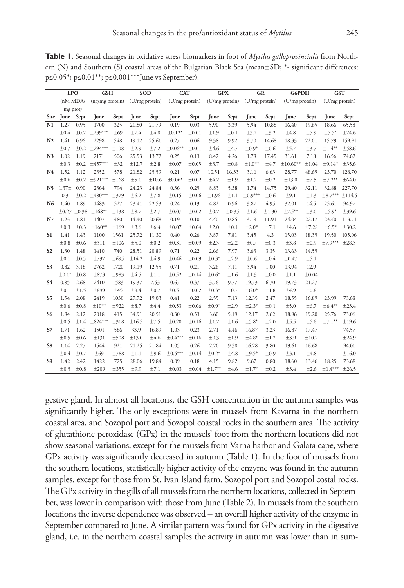**Table 1.** Seasonal changes in oxidative stress biomarkers in foot of *Mytilus galloprovincialis* from Northern (N) and Southern (S) coastal areas of the Bulgarian Black Sea (mean $\pm$ SD;  $*$ - significant differences: p≤0.05\*; p≤0.01\*\*; p≤0.001\*\*\*June vs September).

|                | <b>LPO</b>        |            | <b>GSH</b>      |           | <b>SOD</b>     |       | <b>CAT</b>     |            | <b>GPX</b>     |            | GR             |           | <b>G6PDH</b>   |       | <b>GST</b>     |            |
|----------------|-------------------|------------|-----------------|-----------|----------------|-------|----------------|------------|----------------|------------|----------------|-----------|----------------|-------|----------------|------------|
|                | (nM MDA)          |            | (ng/mg protein) |           | (U/mg protein) |       | (U/mg protein) |            | (U/mg protein) |            | (U/mg protein) |           | (U/mg protein) |       | (U/mg protein) |            |
|                | mg prot)          |            |                 |           |                |       |                |            |                |            |                |           |                |       |                |            |
| Site           | June              | Sept       | June            | Sept      | June           | Sept  | June           | Sept       | June           | Sept       | June           | Sept      | June           | Sept  | June           | Sept       |
| N1             | 1.27              | 0.95       | 1700            | 325       | 21.80          | 21.79 | 0.19           | 0.03       | 5.90           | 3.39       | 5.94           | 10.88     | 16.40          | 19.65 | 18.66          | 65.58      |
|                | ±0.4              | $\pm 0.2$  | $±239***$       | ±69       | ±7.4           | ±4.8  | $±0.12*$       | $\pm 0.01$ | ±1.9           | $\pm 0.1$  | ±3.2           | ±3.2      | $\pm 4.8$      | ±5.9  | $±5.5*$        | ±24.6      |
| N <sub>2</sub> | 1.41              | 0.96       | 2298            | 548       | 19.12          | 25.61 | 0.27           | 0.06       | 9.38           | 9.92       | 3.70           | 14.68     | 18.33          | 22.01 | 15.79          | 159.91     |
|                | ±0.7              | $\pm 0.2$  | $\pm 294***$    | ±108      | ±2.9           | ±7.2  | $±0.06***$     | $\pm 0.01$ | ±4.6           | ±4.7       | $\pm 0.9*$     | ±0.6      | ±5.7           | ±3.7  | $±1.4***$      | ±58.6      |
| N <sub>3</sub> | 1.02              | 1.19       | 2171            | 506       | 25.53          | 13.72 | 0.25           | 0.13       | 8.42           | 4.26       | 1.78           | 17.45     | 31.61          | 7.18  | 16.56          | 74.62      |
|                | ±0.3              | $\pm 0.2$  | $±457***$       | ±32       | ±12.7          | ±2.8  | $\pm 0.07$     | ±0.05      | ±3.7           | ±0.8       | $±1.0***$      | ±4.7      | $±10.60**$     | ±1.04 | $±9.14*$       | ±35.6      |
| N4             | 1.52              | 1.12       | 2352            | 578       | 21.82          | 25.59 | 0.21           | 0.07       | 10.51          | 16.33      | 3.16           | 6.63      | 28.77          | 48.69 | 23.70          | 128.70     |
|                | ±0.6              | ±0.2       | $\pm$ 921***    | ±168      | ±5.1           | ±10.6 | $±0.06*$       | $\pm 0.02$ | ±4.2           | ±1.9       | ±1.2           | ±0.2      | ±13.0          | ±7.5  | $±7.2***$      | $\pm 64.0$ |
| N5             | 1.37 <sup>±</sup> | 0.90       | 2364            | 794       | 24.23          | 24.84 | 0.36           | 0.25       | 8.83           | 5.38       | 1.74           | 14.75     | 29.40          | 32.11 | 32.88          | 227.70     |
|                | 0.3               | $\pm 0.2$  | $±480***$       | ±379      | ±6.2           | ±7.8  | $\pm 0.15$     | ±0.06      | ±1.96          | ±1.1       | $\pm 0.9***$   | ±0.6      | ±9.1           | ±1.3  | $\pm 8.7***$   | ±114.5     |
| N6             | 1.40              | 1.89       | 1483            | 527       | 23.41          | 22.53 | 0.24           | 0.13       | 4.82           | 0.96       | 3.87           | 4.95      | 32.01          | 14.5  | 25.61          | 94.97      |
|                | ±0.27             | $\pm 0.38$ | $±168***$       | ±138      | $\pm 8.7$      | ±2.7  | $\pm 0.07$     | $\pm 0.02$ | ±0.7           | $\pm 0.35$ | ±1.6           | ±1.30     | $±7.5**$       | ±3.0  | $±5.9*$        | ±39.6      |
| N7             | 1.23              | 1.81       | 1407            | 480       | 14.40          | 20.68 | 0.19           | 0.10       | 4.40           | 0.85       | 3.19           | 11.91     | 24.04          | 22.17 | 23.40          | 113.71     |
|                | ±0.3              | ±0.3       | $±160***$       | ±169      | ±3.6           | ±6.4  | $\pm 0.07$     | ±0.04      | ±2.0           | ±0.1       | $±2.0*$        | ±7.1      | ±4.6           | ±7.28 | $±6.5*$        | ±30.2      |
| S <sub>1</sub> | 1.41              | 1.43       | 1100            | 1561      | 25.72          | 11.30 | 0.40           | 0.26       | 3.87           | 7.81       | 3.45           | 4.3       | 15.03          | 18.35 | 19.50          | 105.06     |
|                | ±0.8              | ±0.6       | ±311            | ±106      | ±5.0           | ±0.2  | $\pm 0.31$     | ±0.09      | ±2.3           | ±2.2       | ±0.7           | $\pm 0.3$ | ±3.8           | ±0.9  | $±7.9***$      | ±28.3      |
| S <sub>2</sub> | 1.30              | 1.48       | 1410            | 740       | 28.51          | 20.89 | 0.71           | 0.22       | 2.66           | 7.97       | 3.63           | 3.35      | 13.63          | 14.55 |                |            |
|                | ±0.1              | ±0.5       | ±737            | $\pm 695$ | ±14.2          | ±4.9  | $\pm 0.46$     | $\pm 0.09$ | $\pm 0.3*$     | ±2.9       | ±0.6           | $\pm 0.4$ | $\pm 0.47$     | ±5.1  |                |            |
| S <sub>3</sub> | 0.82              | 3.18       | 2762            | 1720      | 19.19          | 12.55 | 0.71           | 0.21       | 3.26           | 7.11       | 3.94           | 1.00      | 13.94          | 12.9  |                |            |
|                | $\pm 0.1*$        | ±0.8       | ±873            | ±983      | ±4.5           | ±1.1  | $\pm 0.52$     | ±0.14      | $\pm 0.6*$     | ±1.6       | ±1.3           | ±0.0      | ±1.1           | ±0.04 |                |            |
| S4             | 0.85              | 2.68       | 2410            | 1583      | 19.37          | 7.53  | 0.67           | 0.37       | 3.76           | 9.77       | 19.73          | 6.70      | 19.73          | 21.27 |                |            |
|                | ±0.1              | ±1.5       | $\pm$ 899       | ±45       | ±9.4           | ±0.7  | ±0.51          | $\pm 0.02$ | $±0.3*$        | ±0.7       | $\pm 6.0*$     | ±1.8      | ±4.9           | ±0.8  |                |            |
| S5             | 1.54              | 2.08       | 2419            | 1030      | 27.72          | 19.03 | 0.41           | 0.22       | 2.55           | 7.13       | 12.35          | 2.47      | 18.55          | 16.89 | 23.99          | 73.68      |
|                | ±0.6              | ±0.8       | $±10**$         | ±922      | $\pm 8.7$      | ±4.4  | $\pm 0.53$     | ±0.06      | $\pm 0.9*$     | ±2.9       | $±2.3*$        | $\pm 0.1$ | ±5.0           | ±6.7  | $±6.4***$      | ±23.4      |
| S6             | 1.84              | 2.12       | 2018            | 415       | 34.91          | 20.51 | 0.30           | 0.53       | 3.60           | 5.19       | 12.17          | 2.62      | 18.96          | 19.20 | 25.76          | 73.06      |
|                | ±0.5              | ±1.4       | $\pm 824***$    | ±318      | ±16.5          | ±7.5  | ±0.20          | ±0.16      | ±1.7           | ±1.6       | $±5.8*$        | ±2.0      | ±5.5           | ±5.6  | $±7.1***$      | ±19.6      |
| S7             | 1.71              | 1.62       | 1501            | 586       | 33.9           | 16.89 | 1.03           | 0.23       | 2.71           | 4.46       | 16.87          | 3.23      | 16.87          | 17.47 |                | 74.57      |
|                | ±0.5              | ±0.6       | ±131            | ±508      | ±13.0          | ±4.6  | $\pm 0.4***$   | ±0.16      | ±0.3           | ±1.9       | $±4.8*$        | ±1.2      | ±3.9           | ±10.2 |                | ±24.9      |
| S8             | 1.14              | 2.27       | 1544            | 921       | 21.25          | 21.84 | 1.05           | 0.26       | 2.20           | 9.38       | 16.28          | 3.80      | 19.61          | 16.68 |                | 94.01      |
|                | ±0.4              | $\pm 0.7$  | ±69             | ±788      | ±1.1           | ±9.6  | $\pm 0.5***$   | ±0.14      | $\pm 0.2*$     | ±4.8       | $±9.5*$        | ±0.9      | ±3.1           | ±4.8  |                | ±16.0      |
| S9             | 1.42              | 2.42       | 1422            | 725       | 28.06          | 19.84 | 0.09           | 0.18       | 4.15           | 9.82       | 9.67           | 0.80      | 18.60          | 13.46 | 18.25          | 73.68      |
|                | ±0.5              | ±0.8       | ±209            | ±355      | ±9.9           | ±7.1  | $\pm 0.03$     | $\pm 0.04$ | $±1.7**$       | ±4.6       | $±1.7*$        | ±0.2      | ±3.4           | ±2.6  | $\pm 1.4***$   | ±26.5      |

gestive gland. In almost all locations, the GSH concentration in the autumn samples was significantly higher. The only exceptions were in mussels from Kavarna in the northern coastal area, and Sozopol port and Sozopol coastal rocks in the southern area. The activity of glutathione peroxidase (GPx) in the mussels' foot from the northern locations did not show seasonal variations, except for the mussels from Varna harbor and Galata cape, where GPx activity was significantly decreased in autumn (Table 1). In the foot of mussels from the southern locations, statistically higher activity of the enzyme was found in the autumn samples, except for those from St. Ivan Island farm, Sozopol port and Sozopol costal rocks. The GPx activity in the gills of all mussels from the northern locations, collected in September, was lower in comparison with those from June (Table 2). In mussels from the southern locations the inverse dependence was observed – an overall higher activity of the enzyme in September compared to June. A similar pattern was found for GPx activity in the digestive gland, i.e. in the northern coastal samples the activity in autumn was lower than in sum-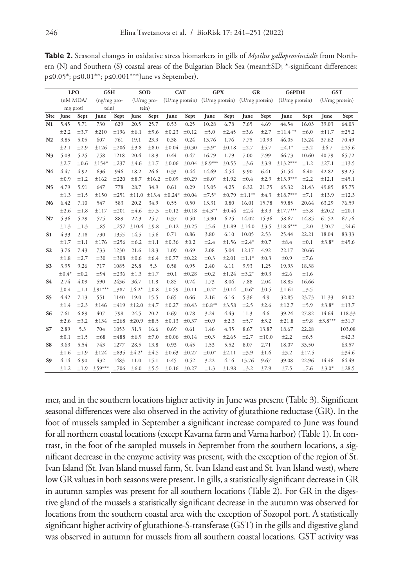| <b>Table 2.</b> Seasonal changes in oxidative stress biomarkers in gills of <i>Mytilus galloprovincialis</i> from North- |
|--------------------------------------------------------------------------------------------------------------------------|
| ern (N) and Southern (S) coastal areas of the Bulgarian Black Sea (mean $\pm$ SD; *-significant differences:             |
| $p\leq 0.05^*$ ; $p\leq 0.01^{**}$ ; $p\leq 0.001^{***}$ June vs September).                                             |

|                | <b>LPO</b> |      | <b>GSH</b>  |      | <b>SOD</b> |       | <b>CAT</b> |            | <b>GPX</b>                                   |            | GR        |           | <b>G6PDH</b>   |           | <b>GST</b>     |        |
|----------------|------------|------|-------------|------|------------|-------|------------|------------|----------------------------------------------|------------|-----------|-----------|----------------|-----------|----------------|--------|
|                | (nM MDA/   |      | (ng/mg pro- |      | (U/mg pro- |       |            |            | (U/mg protein) (U/mg protein) (U/mg protein) |            |           |           | (U/mg protein) |           | (U/mg protein) |        |
|                | mg prot)   |      | tein)       |      | tein)      |       |            |            |                                              |            |           |           |                |           |                |        |
| Site           | June       | Sept | June        | Sept | June       | Sept  | June       | Sept       | June                                         | Sept       | June      | Sept      | June           | Sept      | June           | Sept   |
| N1             | 5.45       | 5.71 | 730         | 629  | 20.5       | 25.7  | 0.53       | 0.25       | 10.28                                        | 6.78       | 7.65      | 4.69      | 44.54          | 16.03     | 39.03          | 64.03  |
|                | ±2.2       | ±3.7 | ±210        | ±196 | ±6.1       | ±9.6  | $\pm 0.23$ | ±0.12      | ±5.0                                         | ±2.45      | ±3.6      | ±2.7      | $\pm 11.4$ **  | ±6.0      | ±11.7          | ±25.2  |
| N <sub>2</sub> | 3.85       | 5.05 | 607         | 761  | 19.1       | 23.3  | 0.38       | 0.24       | 13.76                                        | 1.76       | 7.75      | 10.93     | 46.05          | 13.24     | 37.62          | 70.49  |
|                | ±2.1       | ±2.9 | ±126        | ±206 | ±3.8       | ±8.0  | $\pm 0.04$ | $\pm 0.30$ | $±3.9*$                                      | ±0.18      | ±2.7      | ±5.7      | $±4.1*$        | ±3.2      | ±6.7           | ±25.6  |
| N <sub>3</sub> | 5.09       | 5.25 | 758         | 1218 | 20.4       | 18.9  | 0.44       | 0.47       | 16.79                                        | 1.79       | 7.00      | 7.99      | 66.73          | 10.60     | 40.79          | 65.72  |
|                | ±2.7       | ±0.6 | $±154*$     | ±237 | ±4.6       | ±1.7  | ±0.06      | $\pm 0.04$ | $±8.9***$                                    | ±0.55      | ±3.6      | ±3.9      | $\pm$ 13.2***  | ±1.2      | ±27.1          | ±13.5  |
| N4             | 4.47       | 4.92 | 636         | 946  | 18.2       | 26.6  | 0.33       | 0.44       | 14.69                                        | 4.54       | 9.90      | 6.41      | 51.54          | 6.40      | 42.82          | 99.25  |
|                | ±0.9       | ±1.2 | ±162        | ±220 | ±8.7       | ±16.2 | ±0.09      | ±0.29      | $±8.0*$                                      | ±1.92      | $\pm 0.4$ | ±2.9      | $\pm$ 13.9***  | ±2.2      | ±12.1          | ±45.1  |
| N5             | 4.79       | 5.91 | 647         | 778  | 28.7       | 34.9  | 0.61       | 0.29       | 15.05                                        | 4.25       | 6.32      | 21.75     | 65.32          | 21.43     | 49.85          | 85.75  |
|                | ±1.3       | ±1.5 | ±150        | ±251 | ±11.0      | ±13.4 | $±0.24*$   | $\pm 0.04$ | $±7.5*$                                      | $\pm 0.79$ | $±1.1***$ | $\pm 4.3$ | $±18.7***$     | ±7.1      | ±13.9          | ±12.3  |
| N <sub>6</sub> | 6.42       | 7.10 | 547         | 583  | 20.2       | 34.9  | 0.55       | 0.50       | 13.31                                        | 0.80       | 16.01     | 15.78     | 59.85          | 20.64     | 63.29          | 76.59  |
|                | ±2.6       | ±1.8 | ±117        | ±201 | ±4.6       | ±7.3  | ±0.12      | $\pm 0.18$ | $±4.3***$                                    | ±0.46      | ±2.4      | ±3.3      | $±17.7***$     | ±5.8      | ±20.2          | ±20.1  |
| N7             | 5.36       | 5.29 | 575         | 889  | 22.3       | 25.7  | 0.37       | 0.50       | 13.90                                        | 6.25       | 14.02     | 15.36     | 58.67          | 14.85     | 61.52          | 67.76  |
|                | ±1.3       | ±1.3 | ±85         | ±257 | ±10.4      | ±9.8  | ±0.12      | ±0.25      | ±5.6                                         | ±1.89      | ±14.0     | ±3.5      | $±18.6***$     | ±2.0      | ±20.7          | ±24.6  |
| S <sub>1</sub> | 4.33       | 2.18 | 730         | 1355 | 14.5       | 15.6  | 0.71       | 0.86       | 3.80                                         | 6.10       | 10.05     | 2.53      | 25.44          | 22.21     | 18.04          | 83.33  |
|                | ±1.7       | ±1.1 | ±176        | ±256 | ±6.2       | ±1.1  | $\pm 0.36$ | $\pm 0.2$  | ±2.4                                         | ±1.56      | $±2.4*$   | ±0.7      | ±8.4           | $\pm 0.1$ | $±3.8*$        | ±45.6  |
| S <sub>2</sub> | 3.76       | 7.43 | 733         | 1230 | 21.6       | 18.3  | 1.09       | 0.69       | 2.08                                         | 5.04       | 12.17     | 4.92      | 22.17          | 20.66     |                |        |
|                | ±1.8       | ±2.7 | ±30         | ±308 | ±0.6       | ±6.4  | ±0.77      | ±0.22      | $\pm 0.3$                                    | ±2.01      | $±1.1*$   | ±0.3      | ±0.9           | ±7.6      |                |        |
| S <sub>3</sub> | 3.95       | 9.26 | 717         | 1085 | 25.8       | 5.3   | 0.58       | 0.95       | 2.40                                         | 6.11       | 9.93      | 1.25      | 19.93          | 18.38     |                |        |
|                | $±0.4*$    | ±0.2 | ±94         | ±236 | ±1.3       | ±1.7  | ±0.1       | ±0.28      | ±0.2                                         | ±1.24      | $±3.2*$   | $\pm 0.3$ | ±2.6           | ±1.6      |                |        |
| S <sub>4</sub> | 2.74       | 4.09 | 590         | 2436 | 36.7       | 11.8  | 0.85       | 0.74       | 1.73                                         | 8.06       | 7.88      | 2.04      | 18.85          | 16.66     |                |        |
|                | ±0.4       | ±1.1 | $\pm$ 91*** | ±387 | $±6.2*$    | ±0.8  | ±0.59      | $\pm 0.11$ | $±0.2*$                                      | ±0.14      | $±0.6*$   | $\pm 0.5$ | ±1.61          | ±3.5      |                |        |
| S <sub>5</sub> | 4.42       | 7.13 | 551         | 1140 | 19.0       | 15.5  | 0.65       | 0.66       | 2.16                                         | 6.16       | 5.36      | 4.9       | 32.85          | 23.73     | 11.33          | 60.02  |
|                | ±1.4       | ±2.3 | ±146        | ±419 | ±12.0      | ±4.7  | ±0.27      | $\pm 0.43$ | $±0.8***$                                    | ±3.58      | ±2.5      | ±2.6      | ±12.7          | ±5.9      | $±3.8*$        | ±13.7  |
| S6             | 7.61       | 6.89 | 407         | 798  | 24.5       | 20.2  | 0.69       | 0.78       | 3.24                                         | 4.43       | 11.3      | 4.6       | 39.24          | 27.82     | 14.64          | 118.33 |
|                | ±2.6       | ±3.2 | ±134        | ±268 | ±20.9      | ±8.5  | $\pm 0.13$ | $\pm 0.37$ | ±0.9                                         | ±2.3       | ±5.7      | ±3.2      | ±21.8          | ±9.8      | $\pm 3.8***$   | ±31.7  |
| S7             | 2.89       | 5.3  | 704         | 1053 | 31.3       | 16.6  | 0.69       | 0.61       | 1.46                                         | 4.35       | 8.67      | 13.87     | 18.67          | 22.28     |                | 103.08 |
|                | ±0.1       | ±1.5 | ±68         | ±488 | ±6.9       | ±7.0  | ±0.06      | $\pm 0.14$ | ±0.3                                         | ±2.65      | ±2.7      | ±10.0     | ±2.2           | ±6.5      |                | ±42.3  |
| S8             | 3.63       | 5.54 | 743         | 1277 | 28.5       | 13.8  | 0.93       | 0.45       | 1.53                                         | 5.52       | 8.07      | 2.71      | 18.07          | 33.50     |                | 63.57  |
|                | ±1.6       | ±1.9 | ±124        | ±835 | $±4.2*$    | ±4.5  | $\pm 0.63$ | ±0.27      | $\pm 0.0*$                                   | ±2.11      | ±3.9      | ±1.6      | ±3.2           | ±17.5     |                | ±34.6  |
| S <sub>9</sub> | 4.14       | 6.90 | 432         | 1483 | 11.0       | 15.1  | 0.45       | 0.52       | 3.22                                         | 4.16       | 13.76     | 9.67      | 39.08          | 22.96     | 14.46          | 64.49  |
|                | ±1.2       | ±1.9 | $±59***$    | ±706 | ±6.0       | ±5.5  | ±0.16      | ±0.27      | ±1.3                                         | ±1.98      | ±3.2      | ±7.9      | ±7.5           | ±7.6      | $±3.0*$        | ±28.5  |

mer, and in the southern locations higher activity in June was present (Table 3). Significant seasonal differences were also observed in the activity of glutathione reductase (GR). In the foot of mussels sampled in September a significant increase compared to June was found for all northern coastal locations (except Kavarna farm and Varna harbor) (Table 1). In contrast, in the foot of the sampled mussels in September from the southern locations, a significant decrease in the enzyme activity was present, with the exception of the region of St. Ivan Island (St. Ivan Island mussel farm, St. Ivan Island east and St. Ivan Island west), where low GR values in both seasons were present. In gills, a statistically significant decrease in GR in autumn samples was present for all southern locations (Table 2). For GR in the digestive gland of the mussels a statistically significant decrease in the autumn was observed for locations from the southern coastal area with the exception of Sozopol port. A statistically significant higher activity of glutathione-S-transferase (GST) in the gills and digestive gland was observed in autumn for mussels from all southern coastal locations. GST activity was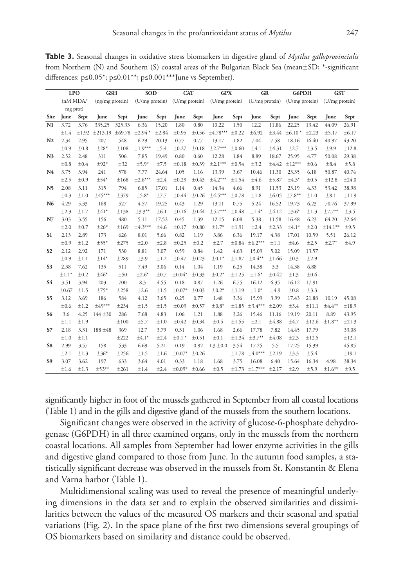**Table 3.** Seasonal changes in oxidative stress biomarkers in digestive gland of *Mytilus galloprovincialis*  from Northern (N) and Southern (S) coastal areas of the Bulgarian Black Sea (mean±SD; \*-significant differences:  $p \le 0.05^*$ ;  $p \le 0.01^{**}$ ;  $p \le 0.001^{**}$ June vs September).

|                | <b>LPO</b> |            | <b>GSH</b>      |        | <b>SOD</b>     |       | <b>CAT</b>     |            | <b>GPX</b>               |            | <b>GR</b>      |            | <b>G6PDH</b>   |       | <b>GST</b>     |       |
|----------------|------------|------------|-----------------|--------|----------------|-------|----------------|------------|--------------------------|------------|----------------|------------|----------------|-------|----------------|-------|
|                | (nM MDA)   |            | (ng/mg protein) |        | (U/mg protein) |       | (U/mg protein) |            | (U/mg protein)           |            | (U/mg protein) |            | (U/mg protein) |       | (U/mg protein) |       |
|                | mg prot)   |            |                 |        |                |       |                |            |                          |            |                |            |                |       |                |       |
| Site           | June       | Sept       | June            | Sept   | June           | Sept  | June           | Sept       | June                     | Sept       | June           | Sept       | June           | Sept  | June           | Sept  |
| N1             | 3.72       | 3.76       | 335.25          | 325.33 | 6.36           | 15.20 | 1.80           | 0.80       | 10.22                    | 1.50       | 12.2           | 11.86      | 22.25          | 13.42 | 44.09          | 26.91 |
|                | ±1.4       | $\pm 1.92$ | ±213.19 ±69.78  |        | $±2.94*$       | ±2.84 | ±0.95          |            | $\pm 0.56$ $\pm 4.78***$ | ±0.22      | ±6.92          | $\pm 3.44$ | $±6.10*$       | ±2.23 | ±5.17          | ±6.17 |
| N <sub>2</sub> | 2.34       | 2.95       | 207             | 548    | 6.29           | 20.13 | 0.77           | 0.77       | 13.17                    | 1.82       | 7.04           | 7.58       | 18.16          | 16.40 | 40.97          | 43.20 |
|                | ±0.9       | ±0.8       | $\pm 28*$       | ±108   | $\pm 1.9***$   | ±5.4  | $\pm 0.27$     | ±0.18      | $±2.7***$                | ±0.60      | ±4.1           | ±4.31      | ±2.7           | ±3.5  | ±9.9           | ±12.8 |
| N <sub>3</sub> | 2.52       | 2.48       | 311             | 506    | 7.85           | 19.49 | 0.80           | 0.60       | 12.28                    | 1.84       | 8.89           | 18.67      | 25.95          | 4.77  | 50.08          | 29.38 |
|                | ±0.8       | ±0.4       | $\pm$ 92*       | ±32    | $±5.9*$        | ±7.5  | $\pm 0.18$     | $\pm 0.39$ | $±2.1***$                | ±0.54      | ±3.2           | ±4.42      | $±12***$       | ±0.6  | $\pm 8.4$      | ±5.8  |
| N4             | 3.75       | 3.94       | 241             | 578    | 7.77           | 24.64 | 1.05           | 1.16       | 13.39                    | 3.67       | 10.46          | 11.30      | 23.35          | 6.18  | 50.87          | 40.74 |
|                | ±2.5       | ±0.9       | $±54*$          | ±168   | $\pm 2.6***$   | ±2.4  | ±0.29          | $\pm 0.43$ | $±4.2***$                | ±1.54      | ±4.6           | ±5.87      | $±4.3*$        | ±0.5  | ±12.8          | ±24.0 |
| N <sub>5</sub> | 2.08       | 3.11       | 315             | 794    | 6.85           | 17.01 | 1.14           | 0.45       | 14.34                    | 4.66       | 8.91           | 11.53      | 23.19          | 4.33  | 53.42          | 38.98 |
|                | ±0.3       | ±1.0       | $±45***$        | ±379   | $±5.8*$        | ±7.7  | ±0.44          | ±0.26      | $±4.5***$                | $\pm 0.78$ | ±1.8           | $\pm 6.05$ | $±7.8***$      | ±1.0  | $\pm 8.1$      | ±11.9 |
| N6             | 4.29       | 5.33       | 168             | 527    | 4.57           | 19.25 | 0.43           | 1.29       | 13.11                    | 0.75       | 5.24           | 16.52      | 19.73          | 6.23  | 70.76          | 37.99 |
|                | ±2.3       | ±1.7       | $±41*$          | ±138   | $±3.3***$      | ±6.1  | $\pm 0.16$     | $\pm 0.44$ | $±5.7***$                | ±0.48      | $\pm 1.4*$     | ±4.12      | $\pm 3.6^*$    | ±1.3  | $±7.7**$       | ±3.5  |
| N7             | 3.03       | 3.55       | 156             | 480    | 5.11           | 17.52 | 0.45           | 1.39       | 12.15                    | 6.08       | 5.38           | 11.58      | 16.48          | 6.23  | 64.20          | 32.64 |
|                | ±2.0       | ±0.7       | $\pm 26*$       | ±169   | $\pm 4.3***$   | ±4.6  | $\pm 0.17$     | ±0.80      | $±1.7*$                  | ±1.91      | ±2.4           | ±2.33      | $±4.1*$        | ±2.0  | $±14.1***$     | ±9.5  |
| S1             | 2.13       | 2.89       | 173             | 626    | 8.01           | 5.66  | 0.82           | 1.19       | 3.86                     | 6.36       | 19.17          | 4.38       | 17.01          | 10.59 | 5.51           | 26.12 |
|                | ±0.9       | ±1.2       | $±55*$          | ±275   | ±2.0           | ±2.8  | ±0.25          | ±0.2       | ±2.7                     | ±0.84      | $\pm 6.2***$   | ±1.1       | ±4.6           | ±2.5  | $±2.7*$        | ±4.9  |
| S <sub>2</sub> | 2.12       | 2.92       | 171             | 530    | 8.81           | 3.07  | 0.59           | 0.84       | 1.42                     | 4.63       | 15.09          | 5.02       | 15.09          | 13.57 |                |       |
|                | ±0.9       | ±1.1       | $±14*$          | ±289   | ±3.9           | ±1.2  | $\pm 0.47$     | $\pm 0.23$ | $±0.1*$                  | ±1.87      | $\pm 0.4***$   | ±1.66      | ±0.3           | ±2.9  |                |       |
| S <sub>3</sub> | 2.38       | 7.62       | 135             | 511    | 7.49           | 3.06  | 0.14           | 1.04       | 1.19                     | 6.25       | 14.38          | 3.3        | 14.38          | 6.88  |                |       |
|                | $\pm 1.1*$ | ±0.2       | $±46*$          | ±50    | $±2.6*$        | ±0.7  | $±0.04*$       | $\pm 0.33$ | $\pm 0.2*$               | ±1.25      | $\pm 1.6^*$    | ±0.42      | ±1.3           | ±0.6  |                |       |
| <b>S4</b>      | 3.51       | 3.94       | 203             | 700    | 8.3            | 4.55  | 0.18           | 0.87       | 1.26                     | 6.75       | 16.12          | 6.35       | 16.12          | 17.91 |                |       |
|                | $\pm 0.67$ | ±1.5       | $±75*$          | ±258   | ±2.6           | ±1.5  | $±0.07*$       | $\pm 0.03$ | $\pm 0.2*$               | ±1.19      | $\pm 1.0*$     | ±4.9       | $\pm 0.8$      | ±3.3  |                |       |
| S <sub>5</sub> | 3.12       | 3.69       | 186             | 584    | 4.12           | 3.65  | 0.25           | 0.77       | 1.48                     | 3.36       | 15.99          | 3.99       | 17.43          | 21.88 | 10.19          | 45.08 |
|                | ±0.6       | ±1.2       | $\pm 49***$     | ±234   | ±1.5           | ±1.5  | $\pm 0.09$     | ±0.57      | $±0.8*$                  | ±1.85      | $\pm 3.4***$   | ±2.09      | ±3.4           | ±11.1 | $±4.4**$       | ±18.9 |
| S6             | 3.6        | 4.25       | $144 \pm 30$    | 286    | 7.68           | 4.83  | 1.06           | 1.21       | 1.88                     | 3.26       | 15.46          | 11.16      | 19.19          | 20.11 | 8.89           | 43.95 |
|                | ±1.1       | ±1.9       |                 | ±100   | ±5.7           | ±1.0  | $\pm 0.42$     | ±0.34      | ±0.5                     | ±1.55      | ±2.1           | $\pm 4.88$ | ±4.7           | ±12.6 | $±1.8***$      | ±21.3 |
| S7             | 2.18       | 3.31       | 188 ±48         | 369    | 12.7           | 3.79  | 0.31           | 1.06       | 1.68                     | 2.66       | 17.78          | 7.82       | 14.45          | 17.79 |                | 33.08 |
|                | ±1.0       | ±1.1       |                 | ±222   | $±4.1*$        | ±2.4  | $±0.1*$        | $\pm 0.51$ | ±0.1                     | ±1.34      | $±3.7**$       | $\pm 4.08$ | ±2.3           | ±12.5 |                | ±12.1 |
| S8             | 2.99       | 3.57       | 158             | 533    | 6.69           | 5.21  | 0.19           | 0.92       | $1.3 \pm 0.0$            | 3.54       | 17.25          | 5.5        | 17.25          | 15.39 |                | 45.85 |
|                | $\pm 2.1$  | ±1.3       | $±36*$          | ±256   | ±1.5           | ±1.6  | $±0.07*$       | ±0.26      |                          | ±1.78      | $\pm 4.0***$   | ±2.19      | ±3.3           | ±5.4  |                | ±19.1 |
| S <sub>9</sub> | 3.07       | 3.62       | 197             | 633    | 3.64           | 4.01  | 0.33           | 1.18       | 1.68                     | 3.75       | 16.08          | 6.40       | 15.64          | 16.34 | 4.98           | 38.34 |
|                | ±1.6       | ±1.3       | $±53***$        | ±261   | ±1.4           | ±2.4  | $±0.09*$       | ±0.66      | ±0.5                     | ±1.73      | $±1.7***$      | ±2.17      | ±2.9           | ±5.9  | $±1.6***$      | ±9.5  |

significantly higher in foot of the mussels gathered in September from all coastal locations (Table 1) and in the gills and digestive gland of the mussels from the southern locations.

Significant changes were observed in the activity of glucose-6-phosphate dehydrogenase (G6PDH) in all three examined organs, only in the mussels from the northern coastal locations. All samples from September had lower enzyme activities in the gills and digestive gland compared to those from June. In the autumn food samples, a statistically significant decrease was observed in the mussels from St. Konstantin & Elena and Varna harbor (Table 1).

Multidimensional scaling was used to reveal the presence of meaningful underlying dimensions in the data set and to explain the observed similarities and dissimilarities between the values of the measured OS markers and their seasonal and spatial variations (Fig. 2). In the space plane of the first two dimensions several groupings of OS biomarkers based on similarity and distance could be observed.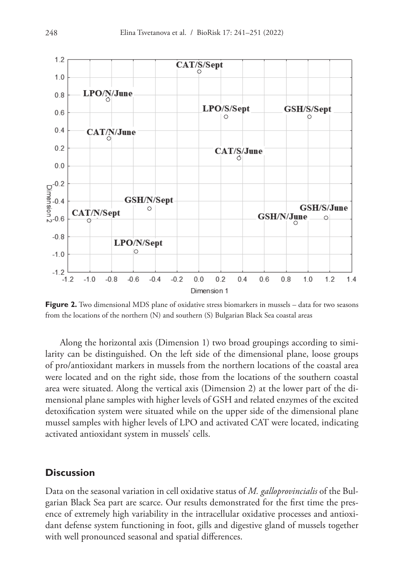

**Figure 2.** Two dimensional MDS plane of oxidative stress biomarkers in mussels – data for two seasons from the locations of the northern (N) and southern (S) Bulgarian Black Sea coastal areas

Along the horizontal axis (Dimension 1) two broad groupings according to similarity can be distinguished. On the left side of the dimensional plane, loose groups of pro/antioxidant markers in mussels from the northern locations of the coastal area were located and on the right side, those from the locations of the southern coastal area were situated. Along the vertical axis (Dimension 2) at the lower part of the dimensional plane samples with higher levels of GSH and related enzymes of the excited detoxification system were situated while on the upper side of the dimensional plane mussel samples with higher levels of LPO and activated CAT were located, indicating activated antioxidant system in mussels' cells.

## **Discussion**

Data on the seasonal variation in cell oxidative status of *M. galloprovincialis* of the Bulgarian Black Sea part are scarce. Our results demonstrated for the first time the presence of extremely high variability in the intracellular oxidative processes and antioxidant defense system functioning in foot, gills and digestive gland of mussels together with well pronounced seasonal and spatial differences.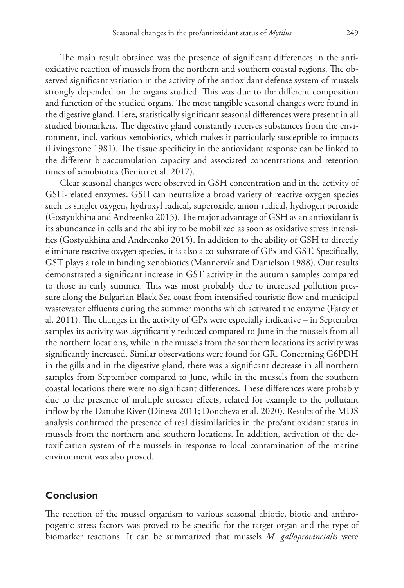The main result obtained was the presence of significant differences in the antioxidative reaction of mussels from the northern and southern coastal regions. The observed significant variation in the activity of the antioxidant defense system of mussels strongly depended on the organs studied. This was due to the different composition and function of the studied organs. The most tangible seasonal changes were found in the digestive gland. Here, statistically significant seasonal differences were present in all studied biomarkers. The digestive gland constantly receives substances from the environment, incl. various xenobiotics, which makes it particularly susceptible to impacts (Livingstone 1981). The tissue specificity in the antioxidant response can be linked to the different bioaccumulation capacity and associated concentrations and retention times of xenobiotics (Benito et al. 2017).

Clear seasonal changes were observed in GSH concentration and in the activity of GSH-related enzymes. GSH can neutralize a broad variety of reactive oxygen species such as singlet oxygen, hydroxyl radical, superoxide, anion radical, hydrogen peroxide (Gostyukhina and Andreenko 2015). The major advantage of GSH as an antioxidant is its abundance in cells and the ability to be mobilized as soon as oxidative stress intensifies (Gostyukhina and Andreenko 2015). In addition to the ability of GSH to directly eliminate reactive oxygen species, it is also a co-substrate of GPx and GST. Specifically, GST plays a role in binding xenobiotics (Mannervik and Danielson 1988). Our results demonstrated a significant increase in GST activity in the autumn samples compared to those in early summer. This was most probably due to increased pollution pressure along the Bulgarian Black Sea coast from intensified touristic flow and municipal wastewater effluents during the summer months which activated the enzyme (Farcy et al. 2011). The changes in the activity of GPx were especially indicative – in September samples its activity was significantly reduced compared to June in the mussels from all the northern locations, while in the mussels from the southern locations its activity was significantly increased. Similar observations were found for GR. Concerning G6PDH in the gills and in the digestive gland, there was a significant decrease in all northern samples from September compared to June, while in the mussels from the southern coastal locations there were no significant differences. These differences were probably due to the presence of multiple stressor effects, related for example to the pollutant inflow by the Danube River (Dineva 2011; Doncheva et al. 2020). Results of the MDS analysis confirmed the presence of real dissimilarities in the pro/antioxidant status in mussels from the northern and southern locations. In addition, activation of the detoxification system of the mussels in response to local contamination of the marine environment was also proved.

## **Conclusion**

The reaction of the mussel organism to various seasonal abiotic, biotic and anthropogenic stress factors was proved to be specific for the target organ and the type of biomarker reactions. It can be summarized that mussels *M. galloprovincialis* were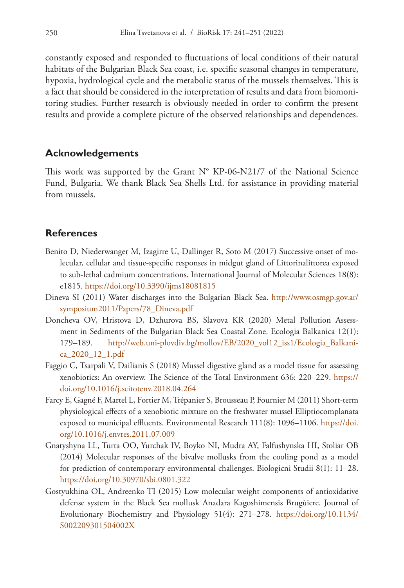constantly exposed and responded to fluctuations of local conditions of their natural habitats of the Bulgarian Black Sea coast, i.e. specific seasonal changes in temperature, hypoxia, hydrological cycle and the metabolic status of the mussels themselves. This is a fact that should be considered in the interpretation of results and data from biomonitoring studies. Further research is obviously needed in order to confirm the present results and provide a complete picture of the observed relationships and dependences.

# **Acknowledgements**

This work was supported by the Grant N° KP-06-N21/7 of the National Science Fund, Bulgaria. We thank Black Sea Shells Ltd. for assistance in providing material from mussels.

# **References**

- Benito D, Niederwanger M, Izagirre U, Dallinger R, Soto M (2017) Successive onset of molecular, cellular and tissue-specific responses in midgut gland of Littorinalittorea exposed to sub-lethal cadmium concentrations. International Journal of Molecular Sciences 18(8): e1815.<https://doi.org/10.3390/ijms18081815>
- Dineva SI (2011) Water discharges into the Bulgarian Black Sea. [http://www.osmgp.gov.ar/](http://www.osmgp.gov.ar/symposium2011/Papers/78_Dineva.pdf) [symposium2011/Papers/78\\_Dineva.pdf](http://www.osmgp.gov.ar/symposium2011/Papers/78_Dineva.pdf)
- Doncheva OV, Hristova D, Dzhurova BS, Slavova KR (2020) Metal Pollution Assessment in Sediments of the Bulgarian Black Sea Coastal Zone. Ecologia Balkanica 12(1): 179–189. [http://web.uni-plovdiv.bg/mollov/EB/2020\\_vol12\\_iss1/Ecologia\\_Balkani](http://web.uni-plovdiv.bg/mollov/EB/2020_vol12_iss1/Ecologia_Balkanica_2020_12_1.pdf)[ca\\_2020\\_12\\_1.pdf](http://web.uni-plovdiv.bg/mollov/EB/2020_vol12_iss1/Ecologia_Balkanica_2020_12_1.pdf)
- Faggio C, Tsarpali V, Dailianis S (2018) Mussel digestive gland as a model tissue for assessing xenobiotics: An overview. The Science of the Total Environment 636: 220–229. [https://](https://doi.org/10.1016/j.scitotenv.2018.04.264) [doi.org/10.1016/j.scitotenv.2018.04.264](https://doi.org/10.1016/j.scitotenv.2018.04.264)
- Farcy E, Gagné F, Martel L, Fortier M, Trépanier S, Brousseau P, Fournier M (2011) Short-term physiological effects of a xenobiotic mixture on the freshwater mussel Elliptiocomplanata exposed to municipal effluents. Environmental Research 111(8): 1096–1106. [https://doi.](https://doi.org/10.1016/j.envres.2011.07.009) [org/10.1016/j.envres.2011.07.009](https://doi.org/10.1016/j.envres.2011.07.009)
- Gnatyshyna LL, Turta OO, Yurchak IV, Boyko NI, Mudra AY, Falfushynska HI, Stoliar OB (2014) Molecular responses of the bivalve mollusks from the cooling pond as a model for prediction of contemporary environmental challenges. Biologicni Studii 8(1): 11–28. <https://doi.org/10.30970/sbi.0801.322>
- Gostyukhina OL, Andreenko TI (2015) Low molecular weight components of antioxidative defense system in the Black Sea mollusk Anadara Kagoshimensis Brugùiere. Journal of Evolutionary Biochemistry and Physiology 51(4): 271–278. [https://doi.org/10.1134/](https://doi.org/10.1134/S002209301504002X) [S002209301504002X](https://doi.org/10.1134/S002209301504002X)